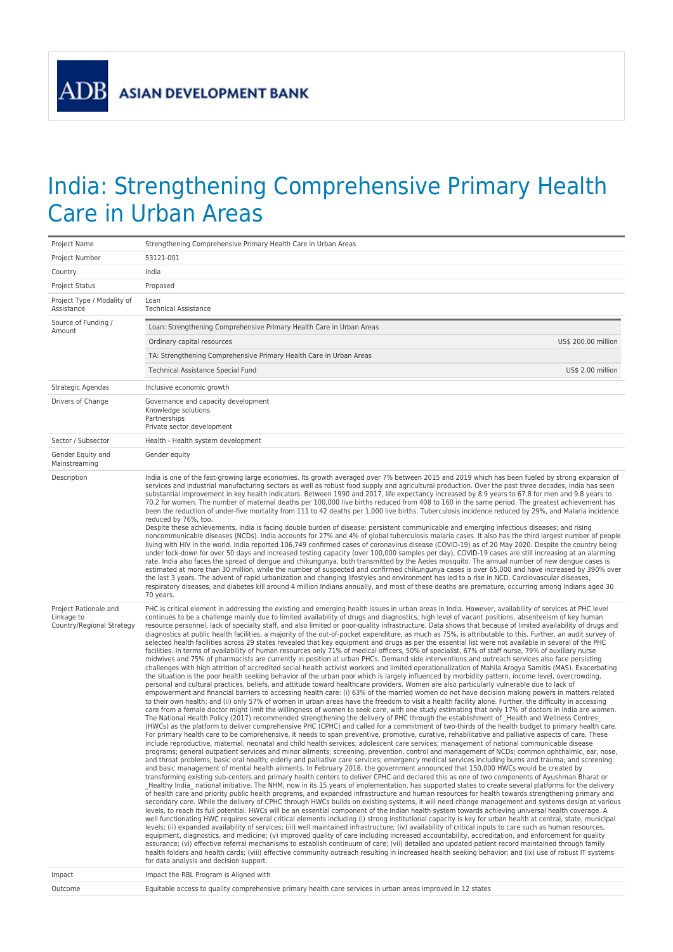**ADB** 

## India: Strengthening Comprehensive Primary Health Care in Urban Areas

| Project Number<br>53121-001<br>India<br>Country<br>Proposed<br>Project Status<br>Project Type / Modality of<br>Loan<br>Assistance<br><b>Technical Assistance</b><br>Source of Funding /<br>Loan: Strengthening Comprehensive Primary Health Care in Urban Areas<br>Amount<br>US\$ 200.00 million<br>Ordinary capital resources<br>TA: Strengthening Comprehensive Primary Health Care in Urban Areas<br>US\$ 2.00 million<br>Technical Assistance Special Fund<br>Inclusive economic growth<br>Strategic Agendas<br>Governance and capacity development<br>Drivers of Change<br>Knowledge solutions<br>Partnerships<br>Private sector development<br>Sector / Subsector<br>Health - Health system development<br>Gender Equity and<br>Gender equity<br>Mainstreaming<br>Description<br>India is one of the fast-growing large economies. Its growth averaged over 7% between 2015 and 2019 which has been fueled by strong expansion of<br>services and industrial manufacturing sectors as well as robust food supply and agricultural production. Over the past three decades, India has seen<br>substantial improvement in key health indicators. Between 1990 and 2017, life expectancy increased by 8.9 years to 67.8 for men and 9.8 years to<br>70.2 for women. The number of maternal deaths per 100,000 live births reduced from 408 to 160 in the same period. The greatest achievement has<br>been the reduction of under-five mortality from 111 to 42 deaths per 1,000 live births. Tuberculosis incidence reduced by 29%, and Malaria incidence<br>reduced by 76%, too.<br>Despite these achievements, India is facing double burden of disease: persistent communicable and emerging infectious diseases; and rising<br>noncommunicable diseases (NCDs). India accounts for 27% and 4% of global tuberculosis malaria cases. It also has the third largest number of people<br>living with HIV in the world. India reported 106,749 confirmed cases of coronavirus disease (COVID-19) as of 20 May 2020. Despite the country being<br>under lock-down for over 50 days and increased testing capacity (over 100,000 samples per day), COVID-19 cases are still increasing at an alarming<br>rate. India also faces the spread of dengue and chikungunya, both transmitted by the Aedes mosquito. The annual number of new dengue cases is<br>estimated at more than 30 million, while the number of suspected and confirmed chikungunya cases is over 65,000 and have increased by 390% over<br>the last 3 years. The advent of rapid urbanization and changing lifestyles and environment has led to a rise in NCD. Cardiovascular diseases,<br>respiratory diseases, and diabetes kill around 4 million Indians annually, and most of these deaths are premature, occurring among Indians aged 30<br>70 years.<br>Project Rationale and<br>PHC is critical element in addressing the existing and emerging health issues in urban areas in India. However, availability of services at PHC level<br>Linkage to<br>continues to be a challenge mainly due to limited availability of drugs and diagnostics, high level of vacant positions, absenteeism of key human<br>Country/Regional Strategy<br>resource personnel, lack of specialty staff, and also limited or poor-quality infrastructure. Data shows that because of limited availability of drugs and<br>diagnostics at public health facilities, a majority of the out-of-pocket expenditure, as much as 75%, is attributable to this. Further, an audit survey of<br>selected health facilities across 29 states revealed that key equipment and drugs as per the essential list were not available in several of the PHC<br>facilities. In terms of availability of human resources only 71% of medical officers, 50% of specialist, 67% of staff nurse, 79% of auxiliary nurse<br>midwives and 75% of pharmacists are currently in position at urban PHCs. Demand side interventions and outreach services also face persisting<br>challenges with high attrition of accredited social health activist workers and limited operationalization of Mahila Arogya Samitis (MAS). Exacerbating<br>the situation is the poor health seeking behavior of the urban poor which is largely influenced by morbidity pattern, income level, overcrowding,<br>personal and cultural practices, beliefs, and attitude toward healthcare providers. Women are also particularly vulnerable due to lack of<br>empowerment and financial barriers to accessing health care: (i) 63% of the married women do not have decision making powers in matters related<br>to their own health; and (ii) only 57% of women in urban areas have the freedom to visit a health facility alone. Further, the difficulty in accessing<br>care from a female doctor might limit the willingness of women to seek care, with one study estimating that only 17% of doctors in India are women.<br>The National Health Policy (2017) recommended strengthening the delivery of PHC through the establishment of Health and Wellness Centres<br>(HWCs) as the platform to deliver comprehensive PHC (CPHC) and called for a commitment of two-thirds of the health budget to primary health care.<br>For primary health care to be comprehensive, it needs to span preventive, promotive, curative, rehabilitative and palliative aspects of care. These<br>include reproductive, maternal, neonatal and child health services; adolescent care services; management of national communicable disease<br>programs; general outpatient services and minor ailments; screening, prevention, control and management of NCDs; common ophthalmic, ear, nose,<br>and throat problems; basic oral health; elderly and palliative care services; emergency medical services including burns and trauma; and screening<br>and basic management of mental health ailments. In February 2018, the government announced that 150,000 HWCs would be created by<br>transforming existing sub-centers and primary health centers to deliver CPHC and declared this as one of two components of Ayushman Bharat or<br>Healthy India national initiative. The NHM, now in its 15 years of implementation, has supported states to create several platforms for the delivery<br>of health care and priority public health programs, and expanded infrastructure and human resources for health towards strengthening primary and<br>secondary care. While the delivery of CPHC through HWCs builds on existing systems, it will need change management and systems design at various<br>levels, to reach its full potential. HWCs will be an essential component of the Indian health system towards achieving universal health coverage. A<br>well functionating HWC requires several critical elements including (i) strong institutional capacity is key for urban health at central, state, municipal<br>levels; (ii) expanded availability of services; (iii) well maintained infrastructure; (iv) availability of critical inputs to care such as human resources,<br>equipment, diagnostics, and medicine; (v) improved quality of care including increased accountability, accreditation, and enforcement for quality<br>assurance; (vi) effective referral mechanisms to establish continuum of care; (vii) detailed and updated patient record maintained through family<br>health folders and health cards; (viii) effective community outreach resulting in increased health seeking behavior; and (ix) use of robust IT systems<br>for data analysis and decision support.<br>Impact the RBL Program is Aligned with<br>Impact<br>Equitable access to quality comprehensive primary health care services in urban areas improved in 12 states<br>Outcome | Project Name | Strengthening Comprehensive Primary Health Care in Urban Areas |  |
|---------------------------------------------------------------------------------------------------------------------------------------------------------------------------------------------------------------------------------------------------------------------------------------------------------------------------------------------------------------------------------------------------------------------------------------------------------------------------------------------------------------------------------------------------------------------------------------------------------------------------------------------------------------------------------------------------------------------------------------------------------------------------------------------------------------------------------------------------------------------------------------------------------------------------------------------------------------------------------------------------------------------------------------------------------------------------------------------------------------------------------------------------------------------------------------------------------------------------------------------------------------------------------------------------------------------------------------------------------------------------------------------------------------------------------------------------------------------------------------------------------------------------------------------------------------------------------------------------------------------------------------------------------------------------------------------------------------------------------------------------------------------------------------------------------------------------------------------------------------------------------------------------------------------------------------------------------------------------------------------------------------------------------------------------------------------------------------------------------------------------------------------------------------------------------------------------------------------------------------------------------------------------------------------------------------------------------------------------------------------------------------------------------------------------------------------------------------------------------------------------------------------------------------------------------------------------------------------------------------------------------------------------------------------------------------------------------------------------------------------------------------------------------------------------------------------------------------------------------------------------------------------------------------------------------------------------------------------------------------------------------------------------------------------------------------------------------------------------------------------------------------------------------------------------------------------------------------------------------------------------------------------------------------------------------------------------------------------------------------------------------------------------------------------------------------------------------------------------------------------------------------------------------------------------------------------------------------------------------------------------------------------------------------------------------------------------------------------------------------------------------------------------------------------------------------------------------------------------------------------------------------------------------------------------------------------------------------------------------------------------------------------------------------------------------------------------------------------------------------------------------------------------------------------------------------------------------------------------------------------------------------------------------------------------------------------------------------------------------------------------------------------------------------------------------------------------------------------------------------------------------------------------------------------------------------------------------------------------------------------------------------------------------------------------------------------------------------------------------------------------------------------------------------------------------------------------------------------------------------------------------------------------------------------------------------------------------------------------------------------------------------------------------------------------------------------------------------------------------------------------------------------------------------------------------------------------------------------------------------------------------------------------------------------------------------------------------------------------------------------------------------------------------------------------------------------------------------------------------------------------------------------------------------------------------------------------------------------------------------------------------------------------------------------------------------------------------------------------------------------------------------------------------------------------------------------------------------------------------------------------------------------------------------------------------------------------------------------------------------------------------------------------------------------------------------------------------------------------------------------------------------------------------------------------------------------------------------------------------------------------------------------------------------------------------------------------------------------------------------------------------------------------------------------------------------------------------------------------------------------------------------------------------------------------------------------------------------------------------------------------------------------------------------------------------------------------------------------------------------------------------------------------------------------------------------------------------------------------------------------------------------------------------------------------------------------------------------------------------------------------------------------------------------------------------------------------------------------------------------------------------------------------------------------------------------------------------------------------------------------------------------------------------------------------------------------------------------------------------------------------------------------------------------------------------------------------------------------------------------------------------------------------------------------------------------------------------------------------------------------------------------------------------------------------------------------------------------------------------------------------------------------------------------------------|--------------|----------------------------------------------------------------|--|
|                                                                                                                                                                                                                                                                                                                                                                                                                                                                                                                                                                                                                                                                                                                                                                                                                                                                                                                                                                                                                                                                                                                                                                                                                                                                                                                                                                                                                                                                                                                                                                                                                                                                                                                                                                                                                                                                                                                                                                                                                                                                                                                                                                                                                                                                                                                                                                                                                                                                                                                                                                                                                                                                                                                                                                                                                                                                                                                                                                                                                                                                                                                                                                                                                                                                                                                                                                                                                                                                                                                                                                                                                                                                                                                                                                                                                                                                                                                                                                                                                                                                                                                                                                                                                                                                                                                                                                                                                                                                                                                                                                                                                                                                                                                                                                                                                                                                                                                                                                                                                                                                                                                                                                                                                                                                                                                                                                                                                                                                                                                                                                                                                                                                                                                                                                                                                                                                                                                                                                                                                                                                                                                                                                                                                                                                                                                                                                                                                                                                                                                                                                                                                                                                                                                                                                                                                                                                                                                                                                                                                                                                                                                                                                                                                                                                                                                                                                                                                                                                                                                                                                                                                                                                                                                                                                                                   |              |                                                                |  |
|                                                                                                                                                                                                                                                                                                                                                                                                                                                                                                                                                                                                                                                                                                                                                                                                                                                                                                                                                                                                                                                                                                                                                                                                                                                                                                                                                                                                                                                                                                                                                                                                                                                                                                                                                                                                                                                                                                                                                                                                                                                                                                                                                                                                                                                                                                                                                                                                                                                                                                                                                                                                                                                                                                                                                                                                                                                                                                                                                                                                                                                                                                                                                                                                                                                                                                                                                                                                                                                                                                                                                                                                                                                                                                                                                                                                                                                                                                                                                                                                                                                                                                                                                                                                                                                                                                                                                                                                                                                                                                                                                                                                                                                                                                                                                                                                                                                                                                                                                                                                                                                                                                                                                                                                                                                                                                                                                                                                                                                                                                                                                                                                                                                                                                                                                                                                                                                                                                                                                                                                                                                                                                                                                                                                                                                                                                                                                                                                                                                                                                                                                                                                                                                                                                                                                                                                                                                                                                                                                                                                                                                                                                                                                                                                                                                                                                                                                                                                                                                                                                                                                                                                                                                                                                                                                                                                   |              |                                                                |  |
|                                                                                                                                                                                                                                                                                                                                                                                                                                                                                                                                                                                                                                                                                                                                                                                                                                                                                                                                                                                                                                                                                                                                                                                                                                                                                                                                                                                                                                                                                                                                                                                                                                                                                                                                                                                                                                                                                                                                                                                                                                                                                                                                                                                                                                                                                                                                                                                                                                                                                                                                                                                                                                                                                                                                                                                                                                                                                                                                                                                                                                                                                                                                                                                                                                                                                                                                                                                                                                                                                                                                                                                                                                                                                                                                                                                                                                                                                                                                                                                                                                                                                                                                                                                                                                                                                                                                                                                                                                                                                                                                                                                                                                                                                                                                                                                                                                                                                                                                                                                                                                                                                                                                                                                                                                                                                                                                                                                                                                                                                                                                                                                                                                                                                                                                                                                                                                                                                                                                                                                                                                                                                                                                                                                                                                                                                                                                                                                                                                                                                                                                                                                                                                                                                                                                                                                                                                                                                                                                                                                                                                                                                                                                                                                                                                                                                                                                                                                                                                                                                                                                                                                                                                                                                                                                                                                                   |              |                                                                |  |
|                                                                                                                                                                                                                                                                                                                                                                                                                                                                                                                                                                                                                                                                                                                                                                                                                                                                                                                                                                                                                                                                                                                                                                                                                                                                                                                                                                                                                                                                                                                                                                                                                                                                                                                                                                                                                                                                                                                                                                                                                                                                                                                                                                                                                                                                                                                                                                                                                                                                                                                                                                                                                                                                                                                                                                                                                                                                                                                                                                                                                                                                                                                                                                                                                                                                                                                                                                                                                                                                                                                                                                                                                                                                                                                                                                                                                                                                                                                                                                                                                                                                                                                                                                                                                                                                                                                                                                                                                                                                                                                                                                                                                                                                                                                                                                                                                                                                                                                                                                                                                                                                                                                                                                                                                                                                                                                                                                                                                                                                                                                                                                                                                                                                                                                                                                                                                                                                                                                                                                                                                                                                                                                                                                                                                                                                                                                                                                                                                                                                                                                                                                                                                                                                                                                                                                                                                                                                                                                                                                                                                                                                                                                                                                                                                                                                                                                                                                                                                                                                                                                                                                                                                                                                                                                                                                                                   |              |                                                                |  |
|                                                                                                                                                                                                                                                                                                                                                                                                                                                                                                                                                                                                                                                                                                                                                                                                                                                                                                                                                                                                                                                                                                                                                                                                                                                                                                                                                                                                                                                                                                                                                                                                                                                                                                                                                                                                                                                                                                                                                                                                                                                                                                                                                                                                                                                                                                                                                                                                                                                                                                                                                                                                                                                                                                                                                                                                                                                                                                                                                                                                                                                                                                                                                                                                                                                                                                                                                                                                                                                                                                                                                                                                                                                                                                                                                                                                                                                                                                                                                                                                                                                                                                                                                                                                                                                                                                                                                                                                                                                                                                                                                                                                                                                                                                                                                                                                                                                                                                                                                                                                                                                                                                                                                                                                                                                                                                                                                                                                                                                                                                                                                                                                                                                                                                                                                                                                                                                                                                                                                                                                                                                                                                                                                                                                                                                                                                                                                                                                                                                                                                                                                                                                                                                                                                                                                                                                                                                                                                                                                                                                                                                                                                                                                                                                                                                                                                                                                                                                                                                                                                                                                                                                                                                                                                                                                                                                   |              |                                                                |  |
|                                                                                                                                                                                                                                                                                                                                                                                                                                                                                                                                                                                                                                                                                                                                                                                                                                                                                                                                                                                                                                                                                                                                                                                                                                                                                                                                                                                                                                                                                                                                                                                                                                                                                                                                                                                                                                                                                                                                                                                                                                                                                                                                                                                                                                                                                                                                                                                                                                                                                                                                                                                                                                                                                                                                                                                                                                                                                                                                                                                                                                                                                                                                                                                                                                                                                                                                                                                                                                                                                                                                                                                                                                                                                                                                                                                                                                                                                                                                                                                                                                                                                                                                                                                                                                                                                                                                                                                                                                                                                                                                                                                                                                                                                                                                                                                                                                                                                                                                                                                                                                                                                                                                                                                                                                                                                                                                                                                                                                                                                                                                                                                                                                                                                                                                                                                                                                                                                                                                                                                                                                                                                                                                                                                                                                                                                                                                                                                                                                                                                                                                                                                                                                                                                                                                                                                                                                                                                                                                                                                                                                                                                                                                                                                                                                                                                                                                                                                                                                                                                                                                                                                                                                                                                                                                                                                                   |              |                                                                |  |
|                                                                                                                                                                                                                                                                                                                                                                                                                                                                                                                                                                                                                                                                                                                                                                                                                                                                                                                                                                                                                                                                                                                                                                                                                                                                                                                                                                                                                                                                                                                                                                                                                                                                                                                                                                                                                                                                                                                                                                                                                                                                                                                                                                                                                                                                                                                                                                                                                                                                                                                                                                                                                                                                                                                                                                                                                                                                                                                                                                                                                                                                                                                                                                                                                                                                                                                                                                                                                                                                                                                                                                                                                                                                                                                                                                                                                                                                                                                                                                                                                                                                                                                                                                                                                                                                                                                                                                                                                                                                                                                                                                                                                                                                                                                                                                                                                                                                                                                                                                                                                                                                                                                                                                                                                                                                                                                                                                                                                                                                                                                                                                                                                                                                                                                                                                                                                                                                                                                                                                                                                                                                                                                                                                                                                                                                                                                                                                                                                                                                                                                                                                                                                                                                                                                                                                                                                                                                                                                                                                                                                                                                                                                                                                                                                                                                                                                                                                                                                                                                                                                                                                                                                                                                                                                                                                                                   |              |                                                                |  |
|                                                                                                                                                                                                                                                                                                                                                                                                                                                                                                                                                                                                                                                                                                                                                                                                                                                                                                                                                                                                                                                                                                                                                                                                                                                                                                                                                                                                                                                                                                                                                                                                                                                                                                                                                                                                                                                                                                                                                                                                                                                                                                                                                                                                                                                                                                                                                                                                                                                                                                                                                                                                                                                                                                                                                                                                                                                                                                                                                                                                                                                                                                                                                                                                                                                                                                                                                                                                                                                                                                                                                                                                                                                                                                                                                                                                                                                                                                                                                                                                                                                                                                                                                                                                                                                                                                                                                                                                                                                                                                                                                                                                                                                                                                                                                                                                                                                                                                                                                                                                                                                                                                                                                                                                                                                                                                                                                                                                                                                                                                                                                                                                                                                                                                                                                                                                                                                                                                                                                                                                                                                                                                                                                                                                                                                                                                                                                                                                                                                                                                                                                                                                                                                                                                                                                                                                                                                                                                                                                                                                                                                                                                                                                                                                                                                                                                                                                                                                                                                                                                                                                                                                                                                                                                                                                                                                   |              |                                                                |  |
|                                                                                                                                                                                                                                                                                                                                                                                                                                                                                                                                                                                                                                                                                                                                                                                                                                                                                                                                                                                                                                                                                                                                                                                                                                                                                                                                                                                                                                                                                                                                                                                                                                                                                                                                                                                                                                                                                                                                                                                                                                                                                                                                                                                                                                                                                                                                                                                                                                                                                                                                                                                                                                                                                                                                                                                                                                                                                                                                                                                                                                                                                                                                                                                                                                                                                                                                                                                                                                                                                                                                                                                                                                                                                                                                                                                                                                                                                                                                                                                                                                                                                                                                                                                                                                                                                                                                                                                                                                                                                                                                                                                                                                                                                                                                                                                                                                                                                                                                                                                                                                                                                                                                                                                                                                                                                                                                                                                                                                                                                                                                                                                                                                                                                                                                                                                                                                                                                                                                                                                                                                                                                                                                                                                                                                                                                                                                                                                                                                                                                                                                                                                                                                                                                                                                                                                                                                                                                                                                                                                                                                                                                                                                                                                                                                                                                                                                                                                                                                                                                                                                                                                                                                                                                                                                                                                                   |              |                                                                |  |
|                                                                                                                                                                                                                                                                                                                                                                                                                                                                                                                                                                                                                                                                                                                                                                                                                                                                                                                                                                                                                                                                                                                                                                                                                                                                                                                                                                                                                                                                                                                                                                                                                                                                                                                                                                                                                                                                                                                                                                                                                                                                                                                                                                                                                                                                                                                                                                                                                                                                                                                                                                                                                                                                                                                                                                                                                                                                                                                                                                                                                                                                                                                                                                                                                                                                                                                                                                                                                                                                                                                                                                                                                                                                                                                                                                                                                                                                                                                                                                                                                                                                                                                                                                                                                                                                                                                                                                                                                                                                                                                                                                                                                                                                                                                                                                                                                                                                                                                                                                                                                                                                                                                                                                                                                                                                                                                                                                                                                                                                                                                                                                                                                                                                                                                                                                                                                                                                                                                                                                                                                                                                                                                                                                                                                                                                                                                                                                                                                                                                                                                                                                                                                                                                                                                                                                                                                                                                                                                                                                                                                                                                                                                                                                                                                                                                                                                                                                                                                                                                                                                                                                                                                                                                                                                                                                                                   |              |                                                                |  |
|                                                                                                                                                                                                                                                                                                                                                                                                                                                                                                                                                                                                                                                                                                                                                                                                                                                                                                                                                                                                                                                                                                                                                                                                                                                                                                                                                                                                                                                                                                                                                                                                                                                                                                                                                                                                                                                                                                                                                                                                                                                                                                                                                                                                                                                                                                                                                                                                                                                                                                                                                                                                                                                                                                                                                                                                                                                                                                                                                                                                                                                                                                                                                                                                                                                                                                                                                                                                                                                                                                                                                                                                                                                                                                                                                                                                                                                                                                                                                                                                                                                                                                                                                                                                                                                                                                                                                                                                                                                                                                                                                                                                                                                                                                                                                                                                                                                                                                                                                                                                                                                                                                                                                                                                                                                                                                                                                                                                                                                                                                                                                                                                                                                                                                                                                                                                                                                                                                                                                                                                                                                                                                                                                                                                                                                                                                                                                                                                                                                                                                                                                                                                                                                                                                                                                                                                                                                                                                                                                                                                                                                                                                                                                                                                                                                                                                                                                                                                                                                                                                                                                                                                                                                                                                                                                                                                   |              |                                                                |  |
|                                                                                                                                                                                                                                                                                                                                                                                                                                                                                                                                                                                                                                                                                                                                                                                                                                                                                                                                                                                                                                                                                                                                                                                                                                                                                                                                                                                                                                                                                                                                                                                                                                                                                                                                                                                                                                                                                                                                                                                                                                                                                                                                                                                                                                                                                                                                                                                                                                                                                                                                                                                                                                                                                                                                                                                                                                                                                                                                                                                                                                                                                                                                                                                                                                                                                                                                                                                                                                                                                                                                                                                                                                                                                                                                                                                                                                                                                                                                                                                                                                                                                                                                                                                                                                                                                                                                                                                                                                                                                                                                                                                                                                                                                                                                                                                                                                                                                                                                                                                                                                                                                                                                                                                                                                                                                                                                                                                                                                                                                                                                                                                                                                                                                                                                                                                                                                                                                                                                                                                                                                                                                                                                                                                                                                                                                                                                                                                                                                                                                                                                                                                                                                                                                                                                                                                                                                                                                                                                                                                                                                                                                                                                                                                                                                                                                                                                                                                                                                                                                                                                                                                                                                                                                                                                                                                                   |              |                                                                |  |
|                                                                                                                                                                                                                                                                                                                                                                                                                                                                                                                                                                                                                                                                                                                                                                                                                                                                                                                                                                                                                                                                                                                                                                                                                                                                                                                                                                                                                                                                                                                                                                                                                                                                                                                                                                                                                                                                                                                                                                                                                                                                                                                                                                                                                                                                                                                                                                                                                                                                                                                                                                                                                                                                                                                                                                                                                                                                                                                                                                                                                                                                                                                                                                                                                                                                                                                                                                                                                                                                                                                                                                                                                                                                                                                                                                                                                                                                                                                                                                                                                                                                                                                                                                                                                                                                                                                                                                                                                                                                                                                                                                                                                                                                                                                                                                                                                                                                                                                                                                                                                                                                                                                                                                                                                                                                                                                                                                                                                                                                                                                                                                                                                                                                                                                                                                                                                                                                                                                                                                                                                                                                                                                                                                                                                                                                                                                                                                                                                                                                                                                                                                                                                                                                                                                                                                                                                                                                                                                                                                                                                                                                                                                                                                                                                                                                                                                                                                                                                                                                                                                                                                                                                                                                                                                                                                                                   |              |                                                                |  |
|                                                                                                                                                                                                                                                                                                                                                                                                                                                                                                                                                                                                                                                                                                                                                                                                                                                                                                                                                                                                                                                                                                                                                                                                                                                                                                                                                                                                                                                                                                                                                                                                                                                                                                                                                                                                                                                                                                                                                                                                                                                                                                                                                                                                                                                                                                                                                                                                                                                                                                                                                                                                                                                                                                                                                                                                                                                                                                                                                                                                                                                                                                                                                                                                                                                                                                                                                                                                                                                                                                                                                                                                                                                                                                                                                                                                                                                                                                                                                                                                                                                                                                                                                                                                                                                                                                                                                                                                                                                                                                                                                                                                                                                                                                                                                                                                                                                                                                                                                                                                                                                                                                                                                                                                                                                                                                                                                                                                                                                                                                                                                                                                                                                                                                                                                                                                                                                                                                                                                                                                                                                                                                                                                                                                                                                                                                                                                                                                                                                                                                                                                                                                                                                                                                                                                                                                                                                                                                                                                                                                                                                                                                                                                                                                                                                                                                                                                                                                                                                                                                                                                                                                                                                                                                                                                                                                   |              |                                                                |  |
|                                                                                                                                                                                                                                                                                                                                                                                                                                                                                                                                                                                                                                                                                                                                                                                                                                                                                                                                                                                                                                                                                                                                                                                                                                                                                                                                                                                                                                                                                                                                                                                                                                                                                                                                                                                                                                                                                                                                                                                                                                                                                                                                                                                                                                                                                                                                                                                                                                                                                                                                                                                                                                                                                                                                                                                                                                                                                                                                                                                                                                                                                                                                                                                                                                                                                                                                                                                                                                                                                                                                                                                                                                                                                                                                                                                                                                                                                                                                                                                                                                                                                                                                                                                                                                                                                                                                                                                                                                                                                                                                                                                                                                                                                                                                                                                                                                                                                                                                                                                                                                                                                                                                                                                                                                                                                                                                                                                                                                                                                                                                                                                                                                                                                                                                                                                                                                                                                                                                                                                                                                                                                                                                                                                                                                                                                                                                                                                                                                                                                                                                                                                                                                                                                                                                                                                                                                                                                                                                                                                                                                                                                                                                                                                                                                                                                                                                                                                                                                                                                                                                                                                                                                                                                                                                                                                                   |              |                                                                |  |
|                                                                                                                                                                                                                                                                                                                                                                                                                                                                                                                                                                                                                                                                                                                                                                                                                                                                                                                                                                                                                                                                                                                                                                                                                                                                                                                                                                                                                                                                                                                                                                                                                                                                                                                                                                                                                                                                                                                                                                                                                                                                                                                                                                                                                                                                                                                                                                                                                                                                                                                                                                                                                                                                                                                                                                                                                                                                                                                                                                                                                                                                                                                                                                                                                                                                                                                                                                                                                                                                                                                                                                                                                                                                                                                                                                                                                                                                                                                                                                                                                                                                                                                                                                                                                                                                                                                                                                                                                                                                                                                                                                                                                                                                                                                                                                                                                                                                                                                                                                                                                                                                                                                                                                                                                                                                                                                                                                                                                                                                                                                                                                                                                                                                                                                                                                                                                                                                                                                                                                                                                                                                                                                                                                                                                                                                                                                                                                                                                                                                                                                                                                                                                                                                                                                                                                                                                                                                                                                                                                                                                                                                                                                                                                                                                                                                                                                                                                                                                                                                                                                                                                                                                                                                                                                                                                                                   |              |                                                                |  |